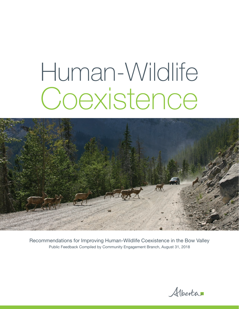# Human-Wildlife Coexistence



Recommendations for Improving Human-Wildlife Coexistence in the Bow Valley Public Feedback Compiled by Community Engagement Branch, August 31, 2018

Alberta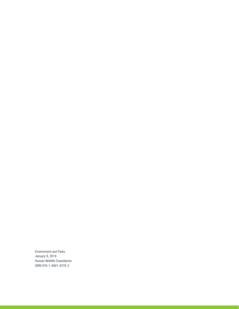Environment and Parks January 8, 2019 Human-Wildlife Coexistence ISBN 978-1-4601-4278-3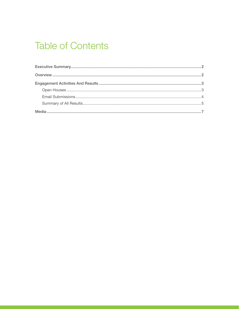## **Table of Contents**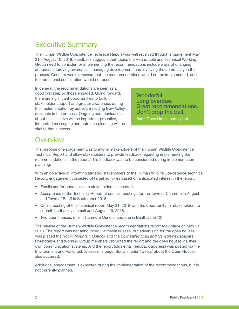## <span id="page-3-0"></span>Executive Summary

The Human Wildlife Coexistence Technical Report was well received through engagement May 31 – August 10, 2018. Feedback suggests that topics the Roundtable and Technical Working Group need to consider for implementing the recommendations include ways of changing attitudes, improving awareness, managing development, and involving the community in the process. Concern was expressed that the recommendations would not be implemented, and that additional consultation would not occur.

In general, the recommendations are seen as a good first step by those engaged. Going forward, there are significant opportunities to build stakeholder support and greater awareness during the implementation by actively including Bow Valley residents in the process. Ongoing communication about this initiative will be important; proactive, integrated messaging and outreach planning will be vital to that success.

Wonderful. Long overdue. Great recommendations. Don't drop the ball.

Banff Open House participant

## **Overview**

The purpose of engagement was to inform stakeholders of the Human Wildlife Coexistence Technical Report and allow stakeholders to provide feedback regarding implementing the recommendations in the report. This feedback was to be considered during implementation planning.

With an objective of informing targeted stakeholders of the Human Wildlife Coexistence Technical Report, engagement consisted of target activities based on anticipated interest in the report:

- Emails and/or phone calls to stakeholders as needed
- Acceptance of the Technical Report at council meetings for the Town of Canmore in August and Town of Banff in September 2018.
- Online posting of the Technical report May 31, 2018 with the opportunity for stakeholders to submit feedback via email until August 10, 2018.
- Two open houses: one in Canmore (June 6) and one in Banff (June 12)

The release of the Human-Wildlife Coexistence recommendations report took place on May 31, 2018. The report was not announced via media release, but advertising for the open houses was placed the *Rocky Mountain Outlook* and the *Bow Valley Crag and Canyon* newspapers. Roundtable and Working Group members promoted the report and the open houses via their own communication systems, and the report (plus email feedback address) was posted via the Environment and Parks public sessions page. Social media 'tweets' about the Open Houses also occurred.

Additional engagement is expected during the implementation of the recommendations, but is not currently planned.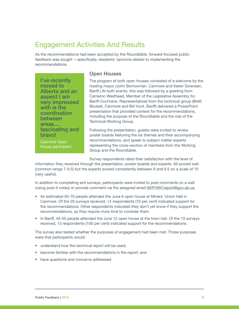## <span id="page-4-0"></span>Engagement Activities And Results

As the recommendations had been accepted by the Roundtable, forward-focused public feedback was sought —specifically, residents' opinions related to implementing the recommendations.

I've recently moved to Alberta and an aspect I am very impressed with is the coordination between areas… fascinating and bravo! Canmore Open

House participant

#### Open Houses

The program at both open houses consisted of a welcome by the hosting mayor (John Borrowman, Canmore and Karen Sorensen, Banff.) At both events, this was followed by a greeting from Cameron Westhead, Member of the Legislative Assembly for Banff-Cochrane. Representatives from the technical group (Brett Boukall, Canmore and Bill Hunt, Banff) delivered a PowerPoint presentation that provided context for the recommendations, including the purpose of the Roundtable and the role of the Technical Working Group.

Following the presentation, guests were invited to review poster boards featuring the six themes and their accompanying recommendations, and speak to subject matter experts representing the cross-section of members from the Working Group and the Roundtable.

Survey respondents rated their satisfaction with the level of

information they received through the presentation, poster boards and experts. All scored well (common range 7-9.5) but the experts scored consistently between 9 and 9.5 on a scale of 10 (very useful).

In addition to completing exit surveys, participants were invited to post comments on a wall (using post-it notes) or provide comment via the assigned email AEP.HWCreport@gov.ab.ca.

- An estimated 65-70 people attended the June 6 open house at Miners' Union Hall in Canmore. Of the 20 surveys received, 14 respondents (70 per cent) indicated support for the recommendations. Other respondents indicated they don't yet know if they support the recommendations, as they require more time to consider them.
- In Banff, 45-50 people attended the June 12 open house at the town hall. Of the 13 surveys received, 13 respondents (100 per cent) indicated support for the recommendations.

The survey also tested whether the purposes of engagement had been met. Those purposes were that participants would:

- understand how the technical report will be used;
- become familiar with the recommendations in the report; and
- have questions and concerns addressed.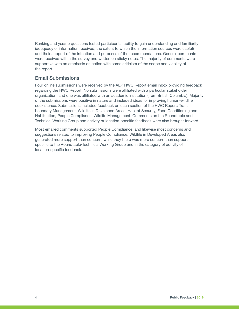<span id="page-5-0"></span>Ranking and yes/no questions tested participants' ability to gain understanding and familiarity (adequacy of information received, the extent to which the information sources were useful) and their support of the intention and purposes of the recommendations. General comments were received within the survey and written on sticky notes. The majority of comments were supportive with an emphasis on action with some criticism of the scope and viability of the report.

#### Email Submissions

Four online submissions were received by the AEP HWC Report email inbox providing feedback regarding the HWC Report. No submissions were affiliated with a particular stakeholder organization, and one was affiliated with an academic institution (from British Columbia). Majority of the submissions were positive in nature and included ideas for improving human-wildlife coexistence. Submissions included feedback on each section of the HWC Report: Transboundary Management, Wildlife in Developed Areas, Habitat Security, Food Conditioning and Habituation, People Compliance, Wildlife Management. Comments on the Roundtable and Technical Working Group and activity or location-specific feedback were also brought forward.

Most emailed comments supported People Compliance, and likewise most concerns and suggestions related to improving People Compliance. Wildlife in Developed Areas also generated more support than concern, while they there was more concern than support specific to the Roundtable/Technical Working Group and in the category of activity of location-specific feedback.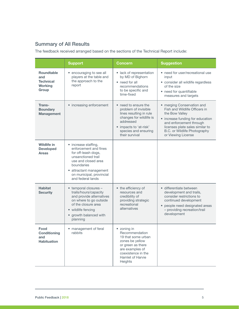### <span id="page-6-0"></span>Summary of All Results

The feedback received arranged based on the sections of the Technical Report include:

|                                                                         | <b>Support</b>                                                                                                                                                                                                 | Concern                                                                                                                                                                             | <b>Suggestion</b>                                                                                                                                                                                                                     |
|-------------------------------------------------------------------------|----------------------------------------------------------------------------------------------------------------------------------------------------------------------------------------------------------------|-------------------------------------------------------------------------------------------------------------------------------------------------------------------------------------|---------------------------------------------------------------------------------------------------------------------------------------------------------------------------------------------------------------------------------------|
| <b>Roundtable</b><br>and<br><b>Technical</b><br><b>Working</b><br>Group | • encouraging to see all<br>players at the table and<br>the approach to the<br>report                                                                                                                          | • lack of representation<br>by MD of Bighorn<br>• need for all<br>recommendations<br>to be specific and<br>time-fixed                                                               | • need for user/recreational use<br>input<br>• consider all wildlife regardless<br>of the size<br>• need for quantifiable<br>measures and targets                                                                                     |
| Trans-<br><b>Boundary</b><br><b>Management</b>                          | • increasing enforcement                                                                                                                                                                                       | • need to ensure the<br>problem of invisible<br>lines resulting in rule<br>changes for wildlife is<br>addressed<br>• impacts to 'at-risk'<br>species and ensuring<br>their survival | • merging Conservation and<br>Fish and Wildlife Officers in<br>the Bow Valley<br>• increase funding for education<br>and enforcement through<br>licenses plate sales similar to<br>B.C. or Wildlife Photography<br>or Viewing License |
| <b>Wildlife in</b><br><b>Developed</b><br><b>Areas</b>                  | • increase staffing,<br>enforcement and fines<br>for off-leash dogs,<br>unsanctioned trail<br>use and closed area<br>boundaries<br>attractant management<br>٠<br>on municipal, provincial<br>and federal lands |                                                                                                                                                                                     |                                                                                                                                                                                                                                       |
| <b>Habitat</b><br><b>Security</b>                                       | • temporal closures -<br>trails/hours/capacity<br>and provide alternatives<br>on where to go outside<br>of the closure area<br>• wildlife fencing<br>growth balanced with<br>planning                          | • the efficiency of<br>resources and<br>credibility of<br>providing strategic<br>recreational<br>alternatives                                                                       | · differentiate between<br>development and trails,<br>consider restrictions to<br>continued development<br>• people need designated areas<br>- providing recreation/trail<br>development                                              |
| Food<br><b>Conditioning</b><br>and<br><b>Habituation</b>                | • management of feral<br>rabbits                                                                                                                                                                               | • zoning in<br>Recommendation<br>19 that some urban<br>zones be yellow<br>or green as there<br>are examples of<br>coexistence in the<br>Hamlet of Harvie<br><b>Heights</b>          |                                                                                                                                                                                                                                       |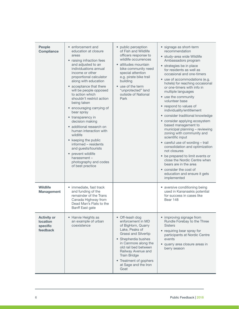| <b>People</b><br><b>Compliance</b>                            | • enforcement and<br>education at closure<br>areas<br>• raising infraction fees<br>and adjusted to an<br>individuations annual<br>income or other<br>proportional calculator<br>along with education<br>• acceptance that there<br>will be people opposed<br>to action which<br>shouldn't restrict action<br>being taken<br>• encouraging carrying of<br>bear spray<br>• transparency in<br>decision making<br>• additional research on<br>human interaction with<br>wildlife | • public perception<br>of Fish and Wildlife<br>officers response to<br>wildlife occurrences<br>• attitudes mountain<br>bike community need<br>special attention<br>e.g. pirate bike trail<br>building<br>• use of the term<br>"unprotected" land<br>outside of National<br>Park    | · signage as short-term<br>recommendation<br>· study-area wide Wildlife<br>Ambassadors program<br>• strategies be in place<br>for residents as well as<br>occasional and one-timers<br>• use of accommodations (e.g.<br>hotels) for reaching occasional<br>or one-timers with info in<br>multiple languages<br>• use the community<br>volunteer base<br>• respond to values of<br>individuality/entitlement<br>• consider traditional knowledge<br>• consider applying ecosystem<br>based management to<br>municipal planning - reviewing<br>zoning with community and<br>scientific input |
|---------------------------------------------------------------|-------------------------------------------------------------------------------------------------------------------------------------------------------------------------------------------------------------------------------------------------------------------------------------------------------------------------------------------------------------------------------------------------------------------------------------------------------------------------------|------------------------------------------------------------------------------------------------------------------------------------------------------------------------------------------------------------------------------------------------------------------------------------|--------------------------------------------------------------------------------------------------------------------------------------------------------------------------------------------------------------------------------------------------------------------------------------------------------------------------------------------------------------------------------------------------------------------------------------------------------------------------------------------------------------------------------------------------------------------------------------------|
|                                                               | • keeping the public<br>informed - residents<br>and guests/tourists<br>• prevent wildlife<br>harassment-<br>photography and codes<br>of best practice                                                                                                                                                                                                                                                                                                                         |                                                                                                                                                                                                                                                                                    | • careful use of wording - trail<br>consolidation and optimization<br>not closures<br>• be prepared to limit events or<br>close the Nordic Centre when<br>bears are in the area<br>• consider the cost of<br>education and ensure it gets<br>implemented                                                                                                                                                                                                                                                                                                                                   |
| <b>Wildlife</b><br><b>Management</b>                          | • immediate, fast track<br>and funding of the<br>remainder of the Trans<br>Canada Highway from<br>Dead Man's Flats to the<br>Banff East gate                                                                                                                                                                                                                                                                                                                                  |                                                                                                                                                                                                                                                                                    | • aversive conditioning being<br>used in Kananaskis potential<br>for success in cases like<br>Bear 148                                                                                                                                                                                                                                                                                                                                                                                                                                                                                     |
| <b>Activity or</b><br><b>location</b><br>specific<br>feedback | • Harvie Heights as<br>an example of urban<br>coexistence                                                                                                                                                                                                                                                                                                                                                                                                                     | • Off-leash dog<br>enforcement in MD<br>of BigHorn, Quarry<br>Lake, Peaks of<br>Grassi and Silvertip<br>• Shepherdia bushes<br>in Canmore along the<br>old rail bed between<br>Railway Avenue and<br><b>Train Bridge</b><br>• Treatment of gophers<br>at Sage and the Iron<br>Goat | • improving signage from<br>Rundle Forebay to the Three<br><b>Sisters</b><br>• requiring bear spray for<br>participants at Nordic Centre<br>events<br>• quarry area closure areas in<br>berry season                                                                                                                                                                                                                                                                                                                                                                                       |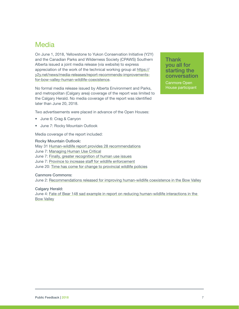## <span id="page-8-0"></span>Media

On June 1, 2018, Yellowstone to Yukon Conservation Initiative (Y2Y) and the Canadian Parks and Wilderness Society (CPAWS) Southern Alberta issued a joint media release (via website) to express appreciation of the work of the technical working group at [https://](https://y2y.net/news/media-releases/report-recommends-improvements-for-bow-valley-human-wildlife-coexistence) [y2y.net/news/media-releases/report-recommends-improvements](https://y2y.net/news/media-releases/report-recommends-improvements-for-bow-valley-human-wildlife-coexistence)[for-bow-valley-human-wildlife-coexistence](https://y2y.net/news/media-releases/report-recommends-improvements-for-bow-valley-human-wildlife-coexistence).

No formal media release issued by Alberta Environment and Parks, and metropolitan (Calgary area) coverage of the report was limited to the Calgary Herald. No media coverage of the report was identified later than June 20, 2018.

**Thank** you all for starting the conversation

Canmore Open House participant

Two advertisements were placed in advance of the Open Houses:

- June 6: Crag & Canyon
- June 7: Rocky Mountain Outlook

Media coverage of the report included:

#### Rocky Mountain Outlook:

May 31 <Human-wildlife report provides 28 recommendations> June 7: [Managing Human Use Critical](https://www.rmoutlook.com/article/Managing-human-use-critical-20180607) June 7: [Finally, greater recognition of human use issues](https://www.rmoutlook.com/article/Finally-greater-recognition-of-human-use-issues-20180607) June 7: [Province to increase staff for wildlife enforcement](https://www.rmoutlook.com/article/Province-to-increase-staff-for-wildlife-enforcement-20180607) June 20: [Time has come for change to provincial wildlife policies](https://www.rmoutlook.com/article/time-has-come-for-change-to-provincial-wildlife-policies-20180620)

Canmore Commons:

June 2: [Recommendations released for improving human-wildlife coexistence in the Bow Valley](https://canmore.ca/residents/stewardship-of-the-environment/managing-human-wildlife-conflict)

Calgary Herald:

June 4: [Fate of Bear 148 sad example in report on reducing human-wildlife interactions in the](https://calgaryherald.com/news/local-news/fate-of-bear-148-sad-example-in-report-on-reducing-human-wildlife-interactions-in-bow-valley)  [Bow Valley](https://calgaryherald.com/news/local-news/fate-of-bear-148-sad-example-in-report-on-reducing-human-wildlife-interactions-in-bow-valley)